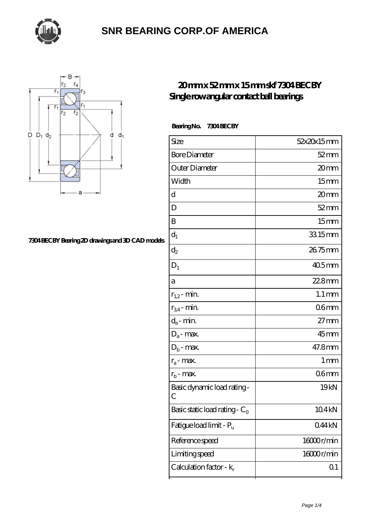



#### **[7304 BECBY Bearing 2D drawings and 3D CAD models](https://m.thebestofquebec.com/pic-64978686.html)**

#### **[20 mm x 52 mm x 15 mm skf 7304 BECBY](https://m.thebestofquebec.com/bh-64978686-skf-7304-becby-single-row-angular-contact-ball-bearings.html) [Single row angular contact ball bearings](https://m.thebestofquebec.com/bh-64978686-skf-7304-becby-single-row-angular-contact-ball-bearings.html)**

 **Bearing No. 7304 BECBY**

| Size                                      | 52x20x15mm          |
|-------------------------------------------|---------------------|
| <b>Bore Diameter</b>                      | $52$ mm             |
| Outer Diameter                            | 20mm                |
| Width                                     | 15 <sub>mm</sub>    |
| d                                         | 20mm                |
| D                                         | $52 \, \mathrm{mm}$ |
| B                                         | 15 <sub>mm</sub>    |
| $d_1$                                     | 33.15mm             |
| $\mathrm{d}_2$                            | 26.75mm             |
| $D_1$                                     | $405$ mm            |
| a                                         | $228$ mm            |
| $r_{1,2}$ - min.                          | $1.1 \,\mathrm{mm}$ |
| $r_{34}$ - min.                           | 06 <sub>mm</sub>    |
| $d_a$ - min.                              | $27 \text{mm}$      |
| $D_a$ - max.                              | $45$ mm             |
| $D_b$ - max.                              | 47.8mm              |
| $r_a$ - max.                              | $1 \,\mathrm{mm}$   |
| $r_{b}$ - max.                            | 06 <sub>mm</sub>    |
| Basic dynamic load rating-<br>С           | 19 <sub>kN</sub>    |
| Basic static load rating - $\mathrm{C}_0$ | 104 <sub>kN</sub>   |
| Fatigue load limit - Pu                   | 044kN               |
| Reference speed                           | 16000r/min          |
| Limiting speed                            | 16000r/min          |
| Calculation factor - $k_r$                | Q <sub>1</sub>      |
|                                           |                     |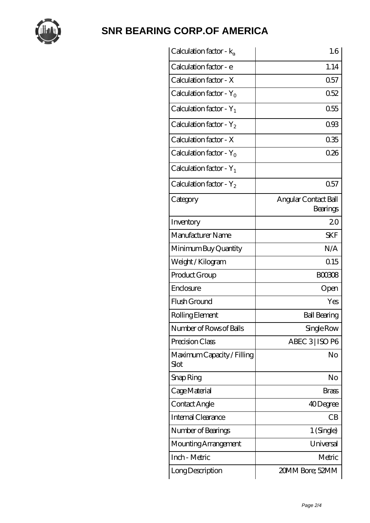

| Calculation factor - $k_a$         | 1.6                              |
|------------------------------------|----------------------------------|
| Calculation factor - e             | 1.14                             |
| Calculation factor - X             | 0.57                             |
| Calculation factor - $Y_0$         | 0.52                             |
| Calculation factor - $Y_1$         | 0.55                             |
| Calculation factor - $Y_2$         | 093                              |
| Calculation factor - X             | 035                              |
| Calculation factor - $Y_0$         | 026                              |
| Calculation factor - $Y_1$         |                                  |
| Calculation factor - $Y_2$         | 0.57                             |
| Category                           | Angular Contact Ball<br>Bearings |
| Inventory                          | 20                               |
| Manufacturer Name                  | <b>SKF</b>                       |
| Minimum Buy Quantity               | N/A                              |
| Weight / Kilogram                  | 0.15                             |
| Product Group                      | <b>BOO308</b>                    |
| Enclosure                          | Open                             |
| Flush Ground                       | Yes                              |
| Rolling Element                    | <b>Ball Bearing</b>              |
| Number of Rows of Balls            | Single Row                       |
| Precision Class                    | ABEC 3 ISO P6                    |
| Maximum Capacity / Filling<br>Slot | No                               |
| Snap Ring                          | No                               |
| Cage Material                      | Brass                            |
| Contact Angle                      | 40Degree                         |
| Internal Clearance                 | CB                               |
| Number of Bearings                 | 1 (Single)                       |
| Mounting Arrangement               | Universal                        |
| Inch - Metric                      | Metric                           |
| Long Description                   | 20MM Bore; 52MM                  |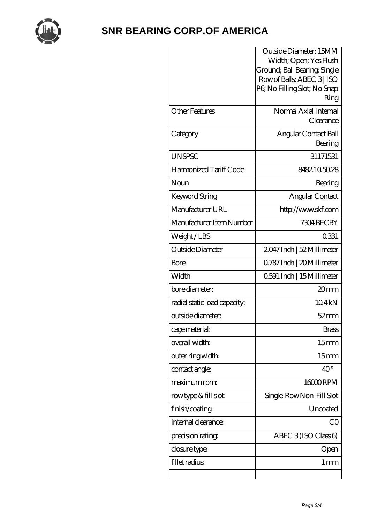

|                              | Outside Diameter; 15MM<br>Width; Open; Yes Flush<br>Ground; Ball Bearing, Single<br>Row of Balls, ABEC 3   ISO<br>PG No Filling Slot; No Snap<br>Ring |
|------------------------------|-------------------------------------------------------------------------------------------------------------------------------------------------------|
| <b>Other Features</b>        | Normal Axial Internal<br>Clearance                                                                                                                    |
| Category                     | Angular Contact Ball<br>Bearing                                                                                                                       |
| <b>UNSPSC</b>                | 31171531                                                                                                                                              |
| Harmonized Tariff Code       | 8482105028                                                                                                                                            |
| Noun                         | Bearing                                                                                                                                               |
| Keyword String               | Angular Contact                                                                                                                                       |
| Manufacturer URL             | http://www.skf.com                                                                                                                                    |
| Manufacturer Item Number     | 7304 BEC BY                                                                                                                                           |
| Weight/LBS                   | 0.331                                                                                                                                                 |
| Outside Diameter             | 2047 Inch   52 Millimeter                                                                                                                             |
| Bore                         | Q787 Inch   20 Millimeter                                                                                                                             |
| Width                        | 0591 Inch   15 Millimeter                                                                                                                             |
| bore diameter:               | 20 <sub>mm</sub>                                                                                                                                      |
| radial static load capacity: | 104kN                                                                                                                                                 |
| outside diameter:            | $52$ mm                                                                                                                                               |
| cage material:               | <b>Brass</b>                                                                                                                                          |
| overall width:               | 15 <sub>mm</sub>                                                                                                                                      |
| outer ring width:            | 15 <sub>mm</sub>                                                                                                                                      |
| contact angle:               | $40^{\circ}$                                                                                                                                          |
| maximum rpm:                 | 16000RPM                                                                                                                                              |
| rowtype & fill slot:         | Single-RowNon-Fill Slot                                                                                                                               |
| finish/coating               | Uncoated                                                                                                                                              |
| internal clearance:          | CO                                                                                                                                                    |
| precision rating             | ABEC $3$ (ISO Class 6)                                                                                                                                |
| closure type:                | Open                                                                                                                                                  |
| fillet radius                | $1 \,\mathrm{mm}$                                                                                                                                     |
|                              |                                                                                                                                                       |